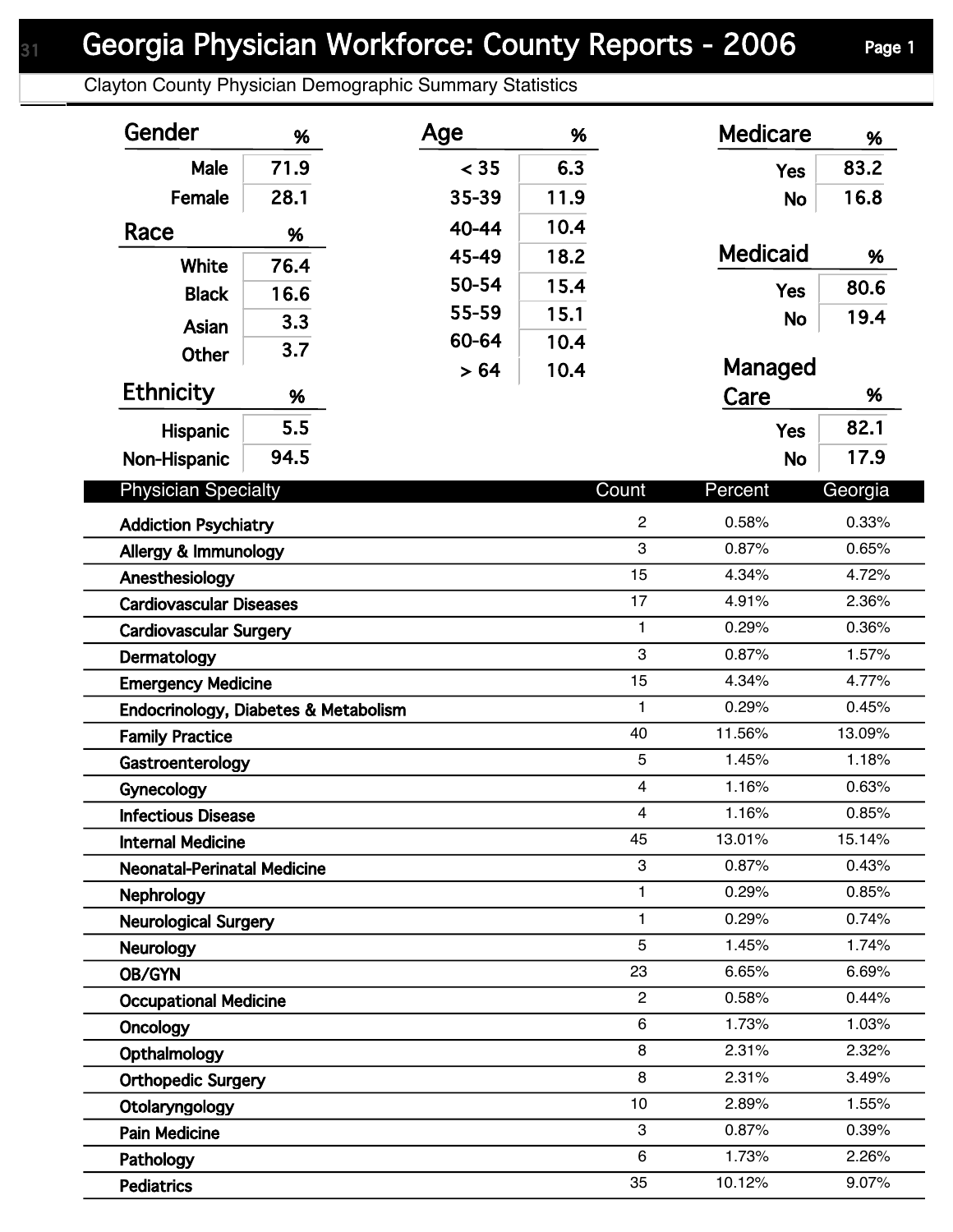Clayton County Physician Demographic Summary Statistics

| Gender                                           | %    | Age   | %    |                     | <b>Medicare</b> | %              |
|--------------------------------------------------|------|-------|------|---------------------|-----------------|----------------|
| Male                                             | 71.9 | < 35  | 6.3  |                     | <b>Yes</b>      | 83.2           |
| Female                                           | 28.1 | 35-39 | 11.9 |                     | <b>No</b>       | 16.8           |
| Race                                             | %    | 40-44 | 10.4 |                     |                 |                |
|                                                  |      | 45-49 | 18.2 |                     | <b>Medicaid</b> | %              |
| <b>White</b>                                     | 76.4 | 50-54 | 15.4 |                     |                 | 80.6           |
| <b>Black</b>                                     | 16.6 | 55-59 | 15.1 |                     | <b>Yes</b>      |                |
| Asian                                            | 3.3  | 60-64 | 10.4 |                     | <b>No</b>       | 19.4           |
| <b>Other</b>                                     | 3.7  | > 64  | 10.4 |                     | Managed         |                |
| <b>Ethnicity</b>                                 | %    |       |      |                     | Care            | %              |
| <b>Hispanic</b>                                  | 5.5  |       |      |                     | <b>Yes</b>      | 82.1           |
| Non-Hispanic                                     | 94.5 |       |      |                     | <b>No</b>       | 17.9           |
| <b>Physician Specialty</b>                       |      |       |      | Count               | Percent         | Georgia        |
|                                                  |      |       |      |                     |                 |                |
| <b>Addiction Psychiatry</b>                      |      |       |      | $\overline{c}$<br>3 | 0.58%<br>0.87%  | 0.33%<br>0.65% |
| Allergy & Immunology                             |      |       |      | 15                  | 4.34%           | 4.72%          |
| Anesthesiology<br><b>Cardiovascular Diseases</b> |      |       |      | 17                  | 4.91%           | 2.36%          |
| <b>Cardiovascular Surgery</b>                    |      |       |      | $\mathbf{1}$        | 0.29%           | 0.36%          |
| Dermatology                                      |      |       |      | 3                   | 0.87%           | 1.57%          |
| <b>Emergency Medicine</b>                        |      |       |      | 15                  | 4.34%           | 4.77%          |
| Endocrinology, Diabetes & Metabolism             |      |       |      | 1                   | 0.29%           | 0.45%          |
| <b>Family Practice</b>                           |      |       |      | 40                  | 11.56%          | 13.09%         |
| Gastroenterology                                 |      |       |      | 5                   | 1.45%           | 1.18%          |
| Gynecology                                       |      |       |      | $\overline{4}$      | 1.16%           | 0.63%          |
| <b>Infectious Disease</b>                        |      |       |      | 4                   | 1.16%           | 0.85%          |
| <b>Internal Medicine</b>                         |      |       |      | 45                  | 13.01%          | 15.14%         |
| <b>Neonatal-Perinatal Medicine</b>               |      |       |      | 3                   | 0.87%           | 0.43%          |
| <b>Nephrology</b>                                |      |       |      | 1                   | 0.29%           | 0.85%          |
| <b>Neurological Surgery</b>                      |      |       |      | 1                   | 0.29%           | 0.74%          |
| Neurology                                        |      |       |      | 5                   | 1.45%           | 1.74%          |
| OB/GYN                                           |      |       |      | 23                  | 6.65%           | 6.69%          |
| <b>Occupational Medicine</b>                     |      |       |      | $\overline{2}$      | 0.58%           | 0.44%          |
| Oncology                                         |      |       |      | 6                   | 1.73%           | 1.03%          |
| Opthalmology                                     |      |       |      | 8                   | 2.31%           | 2.32%          |
| <b>Orthopedic Surgery</b>                        |      |       |      | 8                   | 2.31%           | 3.49%          |
| Otolaryngology                                   |      |       |      | 10                  | 2.89%           | 1.55%          |
| <b>Pain Medicine</b>                             |      |       |      | 3                   | 0.87%           | 0.39%          |
| Pathology                                        |      |       |      | 6                   | 1.73%           | 2.26%          |
| <b>Pediatrics</b>                                |      |       |      | 35                  | 10.12%          | 9.07%          |